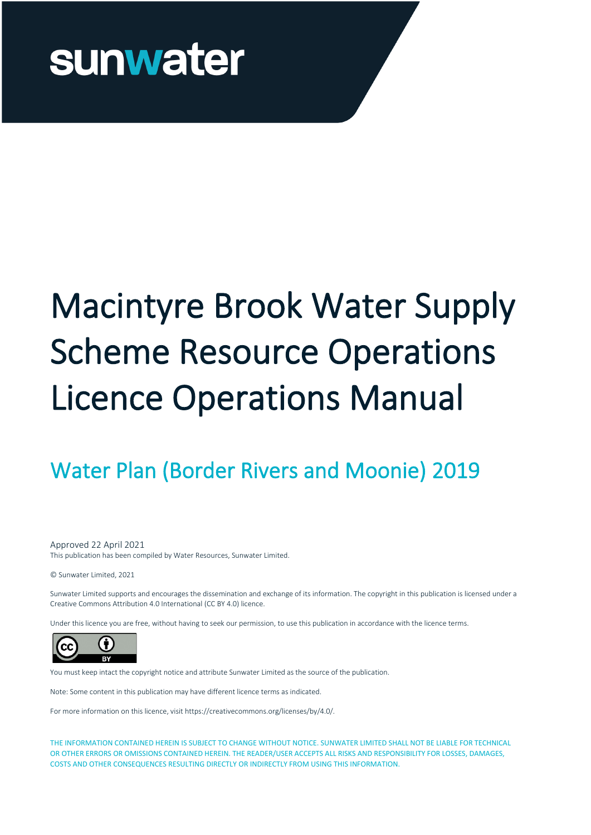# Macintyre Brook Water Supply Scheme Resource Operations Licence Operations Manual

### Water Plan (Border Rivers and Moonie) 2019

Approved 22 April 2021

This publication has been compiled by Water Resources, Sunwater Limited.

© Sunwater Limited, 2021

Sunwater Limited supports and encourages the dissemination and exchange of its information. The copyright in this publication is licensed under a Creative Commons Attribution 4.0 International (CC BY 4.0) licence.

Under this licence you are free, without having to seek our permission, to use this publication in accordance with the licence terms.



You must keep intact the copyright notice and attribute Sunwater Limited as the source of the publication.

Note: Some content in this publication may have different licence terms as indicated.

For more information on this licence, visit https://creativecommons.org/licenses/by/4.0/.

THE INFORMATION CONTAINED HEREIN IS SUBJECT TO CHANGE WITHOUT NOTICE. SUNWATER LIMITED SHALL NOT BE LIABLE FOR TECHNICAL OR OTHER ERRORS OR OMISSIONS CONTAINED HEREIN. THE READER/USER ACCEPTS ALL RISKS AND RESPONSIBILITY FOR LOSSES, DAMAGES, COSTS AND OTHER CONSEQUENCES RESULTING DIRECTLY OR INDIRECTLY FROM USING THIS INFORMATION.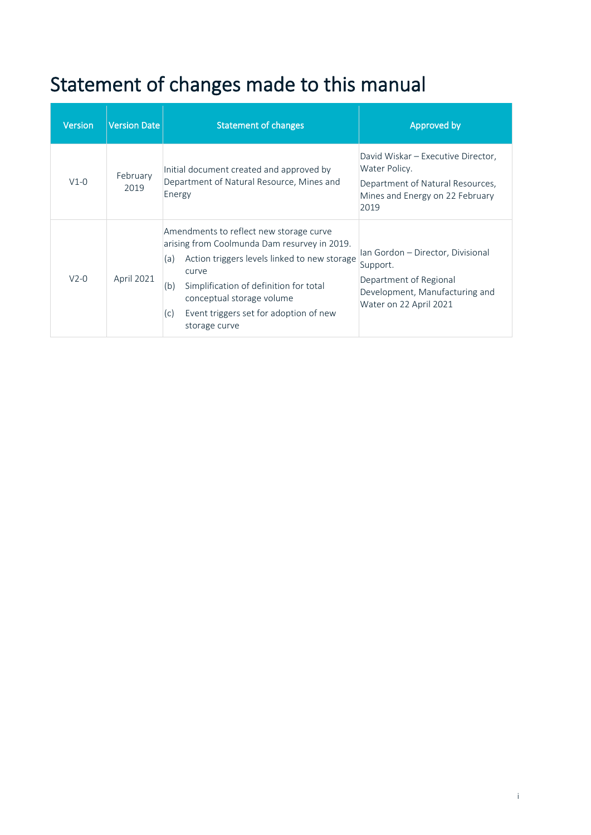## Statement of changes made to this manual

| <b>Version</b> | Version Date     | <b>Statement of changes</b>                                                                                                                                                                                                                                                                             | Approved by                                                                                                                         |
|----------------|------------------|---------------------------------------------------------------------------------------------------------------------------------------------------------------------------------------------------------------------------------------------------------------------------------------------------------|-------------------------------------------------------------------------------------------------------------------------------------|
| $V1-0$         | February<br>2019 | Initial document created and approved by<br>Department of Natural Resource, Mines and<br>Energy                                                                                                                                                                                                         | David Wiskar – Executive Director,<br>Water Policy.<br>Department of Natural Resources,<br>Mines and Energy on 22 February<br>2019  |
| $V2-0$         | April 2021       | Amendments to reflect new storage curve<br>arising from Coolmunda Dam resurvey in 2019.<br>Action triggers levels linked to new storage<br>(a)<br>curve<br>Simplification of definition for total<br>(b)<br>conceptual storage volume<br>Event triggers set for adoption of new<br>(c)<br>storage curve | Ian Gordon - Director, Divisional<br>Support.<br>Department of Regional<br>Development, Manufacturing and<br>Water on 22 April 2021 |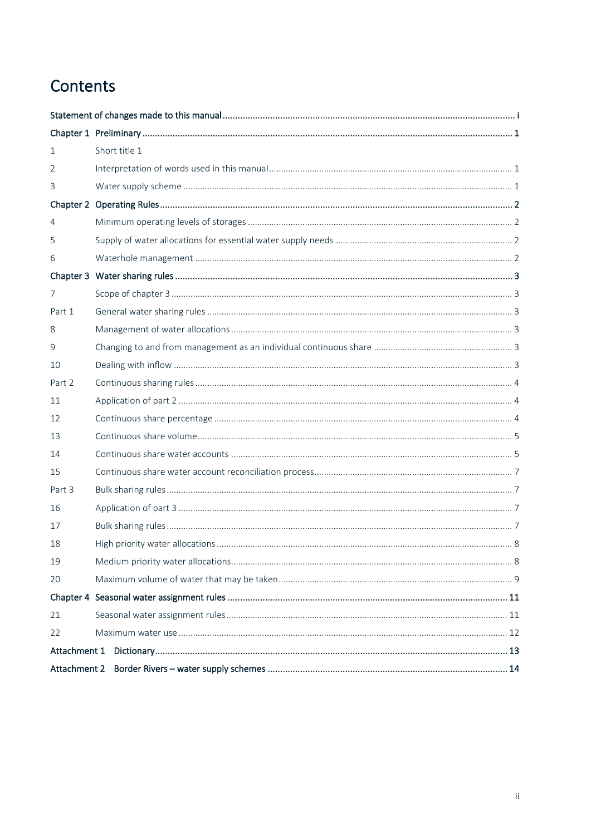### Contents

| $\mathbf{1}$   | Short title 1 |  |  |
|----------------|---------------|--|--|
| 2              |               |  |  |
| 3              |               |  |  |
|                |               |  |  |
| $\overline{4}$ |               |  |  |
| 5              |               |  |  |
| 6              |               |  |  |
|                |               |  |  |
| $\overline{7}$ |               |  |  |
| Part 1         |               |  |  |
| 8              |               |  |  |
| 9              |               |  |  |
| 10             |               |  |  |
| Part 2         |               |  |  |
| 11             |               |  |  |
| 12             |               |  |  |
| 13             |               |  |  |
| 14             |               |  |  |
| 15             |               |  |  |
| Part 3         |               |  |  |
| 16             |               |  |  |
| 17             |               |  |  |
| 18             |               |  |  |
| 19             |               |  |  |
| 20             |               |  |  |
|                |               |  |  |
| 21             |               |  |  |
| 22             |               |  |  |
|                |               |  |  |
|                | Attachment 2  |  |  |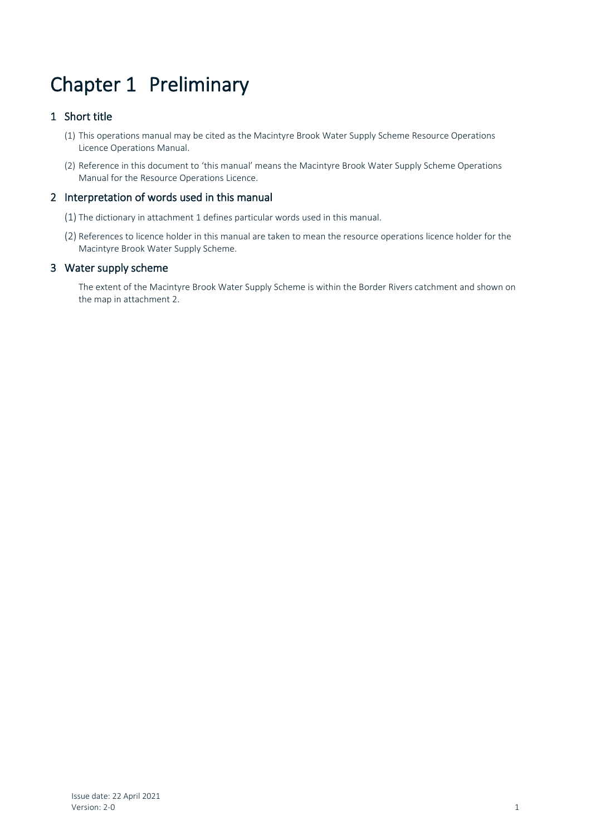### Chapter 1 Preliminary

#### 1 Short title

- (1) This operations manual may be cited as the Macintyre Brook Water Supply Scheme Resource Operations Licence Operations Manual.
- (2) Reference in this document to 'this manual' means the Macintyre Brook Water Supply Scheme Operations Manual for the Resource Operations Licence.

#### 2 Interpretation of words used in this manual

- (1) The dictionary in attachment 1 defines particular words used in this manual.
- (2) References to licence holder in this manual are taken to mean the resource operations licence holder for the Macintyre Brook Water Supply Scheme.

#### 3 Water supply scheme

The extent of the Macintyre Brook Water Supply Scheme is within the Border Rivers catchment and shown on the map in attachment 2.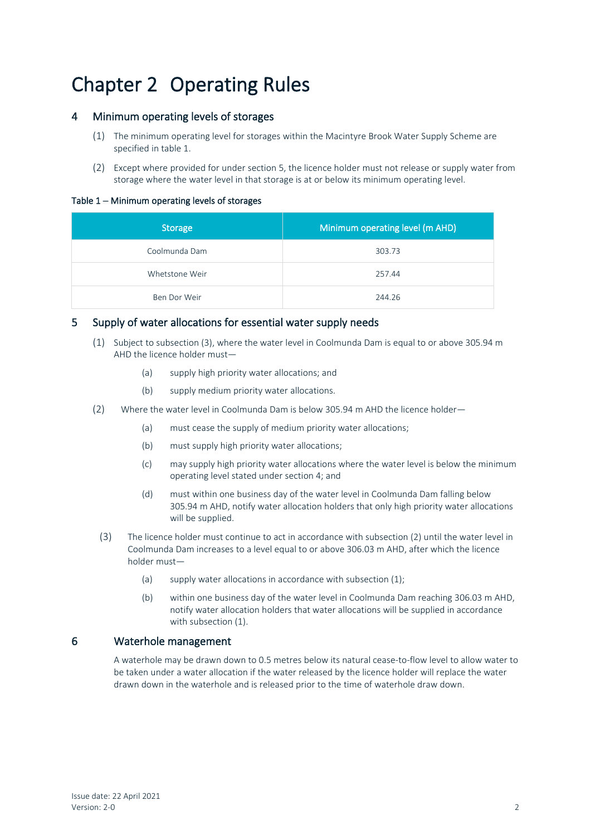### Chapter 2 Operating Rules

#### 4 Minimum operating levels of storages

- (1) The minimum operating level for storages within the Macintyre Brook Water Supply Scheme are specified in table 1.
- (2) Except where provided for under section 5, the licence holder must not release or supply water from storage where the water level in that storage is at or below its minimum operating level.

#### Table 1 – Minimum operating levels of storages

| Storage        | Minimum operating level (m AHD) |
|----------------|---------------------------------|
| Coolmunda Dam  | 303.73                          |
| Whetstone Weir | 257.44                          |
| Ben Dor Weir   | 244.26                          |

#### 5 Supply of water allocations for essential water supply needs

- (1) Subject to subsection (3), where the water level in Coolmunda Dam is equal to or above 305.94 m AHD the licence holder must—
	- (a) supply high priority water allocations; and
	- (b) supply medium priority water allocations.
- (2) Where the water level in Coolmunda Dam is below 305.94 m AHD the licence holder—
	- (a) must cease the supply of medium priority water allocations;
	- (b) must supply high priority water allocations;
	- (c) may supply high priority water allocations where the water level is below the minimum operating level stated under section 4; and
	- (d) must within one business day of the water level in Coolmunda Dam falling below 305.94 m AHD, notify water allocation holders that only high priority water allocations will be supplied.
- (3) The licence holder must continue to act in accordance with subsection (2) until the water level in Coolmunda Dam increases to a level equal to or above 306.03 m AHD, after which the licence holder must—
	- (a) supply water allocations in accordance with subsection (1);
	- (b) within one business day of the water level in Coolmunda Dam reaching 306.03 m AHD, notify water allocation holders that water allocations will be supplied in accordance with subsection (1).

#### 6 Waterhole management

A waterhole may be drawn down to 0.5 metres below its natural cease-to-flow level to allow water to be taken under a water allocation if the water released by the licence holder will replace the water drawn down in the waterhole and is released prior to the time of waterhole draw down.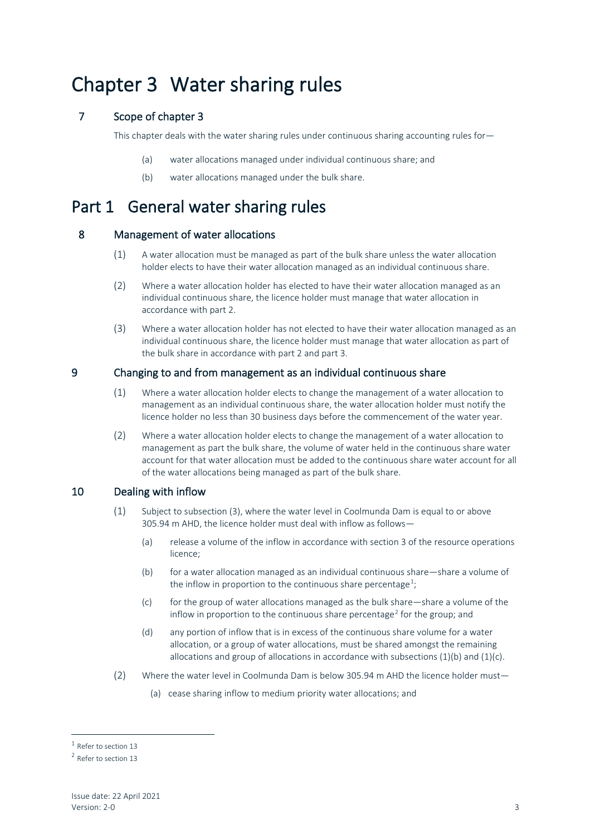### Chapter 3 Water sharing rules

#### 7 Scope of chapter 3

This chapter deals with the water sharing rules under continuous sharing accounting rules for-

- (a) water allocations managed under individual continuous share; and
- (b) water allocations managed under the bulk share.

### Part 1 General water sharing rules

#### 8 Management of water allocations

- (1) A water allocation must be managed as part of the bulk share unless the water allocation holder elects to have their water allocation managed as an individual continuous share.
- (2) Where a water allocation holder has elected to have their water allocation managed as an individual continuous share, the licence holder must manage that water allocation in accordance with part 2.
- (3) Where a water allocation holder has not elected to have their water allocation managed as an individual continuous share, the licence holder must manage that water allocation as part of the bulk share in accordance with part 2 and part 3.

#### 9 Changing to and from management as an individual continuous share

- (1) Where a water allocation holder elects to change the management of a water allocation to management as an individual continuous share, the water allocation holder must notify the licence holder no less than 30 business days before the commencement of the water year.
- (2) Where a water allocation holder elects to change the management of a water allocation to management as part the bulk share, the volume of water held in the continuous share water account for that water allocation must be added to the continuous share water account for all of the water allocations being managed as part of the bulk share.

#### 10 Dealing with inflow

- (1) Subject to subsection (3), where the water level in Coolmunda Dam is equal to or above 305.94 m AHD, the licence holder must deal with inflow as follows—
	- (a) release a volume of the inflow in accordance with section 3 of the resource operations licence;
	- (b) for a water allocation managed as an individual continuous share—share a volume of the inflow in proportion to the continuous share percentage<sup>[1](#page-5-0)</sup>;
	- (c) for the group of water allocations managed as the bulk share—share a volume of the inflow in proportion to the continuous share percentage<sup>[2](#page-5-1)</sup> for the group; and
	- (d) any portion of inflow that is in excess of the continuous share volume for a water allocation, or a group of water allocations, must be shared amongst the remaining allocations and group of allocations in accordance with subsections  $(1)(b)$  and  $(1)(c)$ .
- (2) Where the water level in Coolmunda Dam is below 305.94 m AHD the licence holder must—
	- (a) cease sharing inflow to medium priority water allocations; and

<span id="page-5-0"></span><sup>1</sup> Refer to section 13

<span id="page-5-1"></span><sup>2</sup> Refer to section 13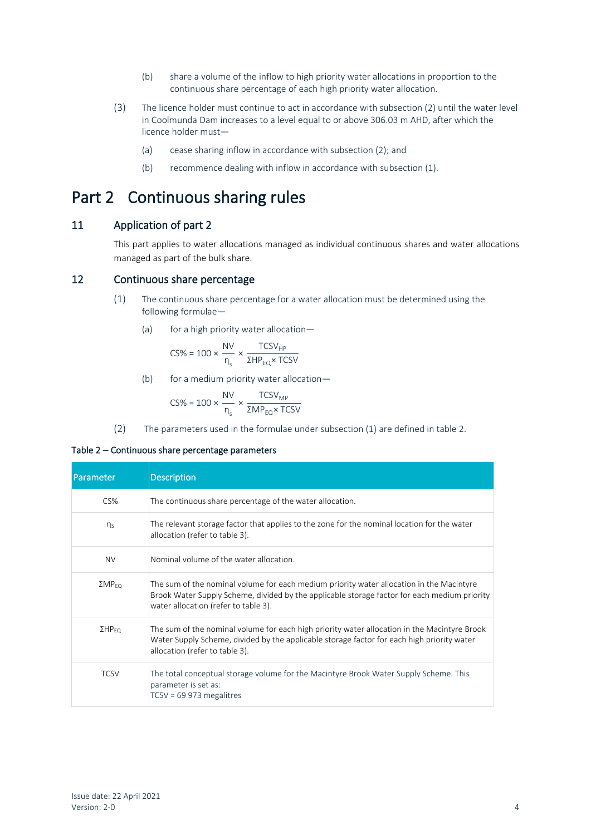- (b) share a volume of the inflow to high priority water allocations in proportion to the continuous share percentage of each high priority water allocation.
- (3) The licence holder must continue to act in accordance with subsection (2) until the water level in Coolmunda Dam increases to a level equal to or above 306.03 m AHD, after which the licence holder must—
	- (a) cease sharing inflow in accordance with subsection (2); and
	- (b) recommence dealing with inflow in accordance with subsection (1).

### Part 2 Continuous sharing rules

#### 11 Application of part 2

This part applies to water allocations managed as individual continuous shares and water allocations managed as part of the bulk share.

#### 12 Continuous share percentage

- (1) The continuous share percentage for a water allocation must be determined using the following formulae—
	- (a) for a high priority water allocation-

$$
\text{CS\%} = 100 \times \frac{\text{NV}}{\text{n}_\text{s}} \times \frac{\text{TCSV}_{\text{HP}}}{\Sigma \text{HP}_{\text{EQ}} \times \text{TCSV}}
$$

(b) for a medium priority water allocation—

$$
\text{CS\%} = 100 \times \frac{\text{NV}}{\text{n}_\text{s}} \times \frac{\text{TCSV}_{\text{MP}}}{\text{ZMP}_{\text{EQ}} \times \text{TCSV}}
$$

(2) The parameters used in the formulae under subsection (1) are defined in table 2.

#### Table 2 – Continuous share percentage parameters

| Parameter                 | <b>Description</b>                                                                                                                                                                                                               |
|---------------------------|----------------------------------------------------------------------------------------------------------------------------------------------------------------------------------------------------------------------------------|
| CS%                       | The continuous share percentage of the water allocation.                                                                                                                                                                         |
| $\eta_s$                  | The relevant storage factor that applies to the zone for the nominal location for the water<br>allocation (refer to table 3).                                                                                                    |
| <b>NV</b>                 | Nominal volume of the water allocation.                                                                                                                                                                                          |
| $\Sigma MP_{FO}$          | The sum of the nominal volume for each medium priority water allocation in the Macintyre<br>Brook Water Supply Scheme, divided by the applicable storage factor for each medium priority<br>water allocation (refer to table 3). |
| $\Sigma$ HP <sub>EQ</sub> | The sum of the nominal volume for each high priority water allocation in the Macintyre Brook<br>Water Supply Scheme, divided by the applicable storage factor for each high priority water<br>allocation (refer to table 3).     |
| <b>TCSV</b>               | The total conceptual storage volume for the Macintyre Brook Water Supply Scheme. This<br>parameter is set as:<br>$TCSV = 69973$ megalitres                                                                                       |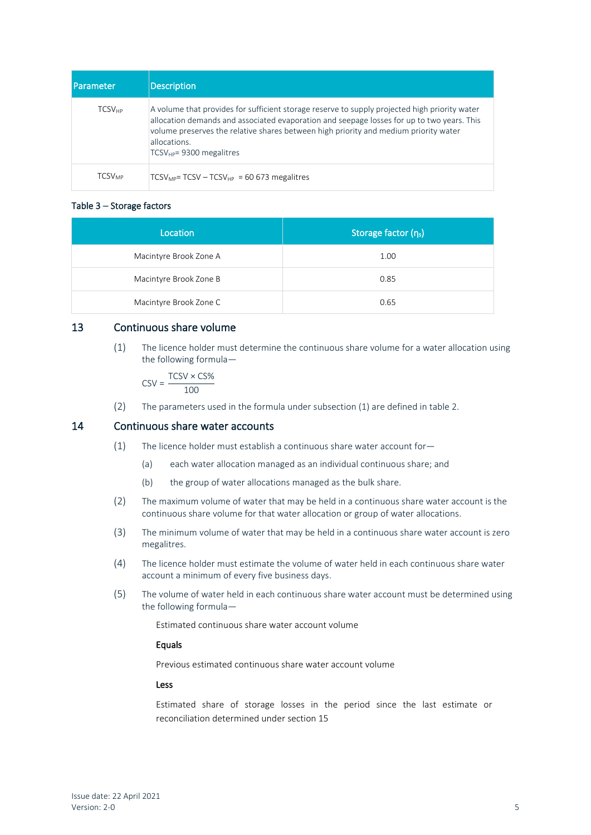| <b>I</b> Parameter       | <b>Description</b>                                                                                                                                                                                                                                                                                                                   |
|--------------------------|--------------------------------------------------------------------------------------------------------------------------------------------------------------------------------------------------------------------------------------------------------------------------------------------------------------------------------------|
| <b>TCSV<sub>HP</sub></b> | A volume that provides for sufficient storage reserve to supply projected high priority water<br>allocation demands and associated evaporation and seepage losses for up to two years. This<br>volume preserves the relative shares between high priority and medium priority water<br>allocations.<br>$TCSV_{HP}$ = 9300 megalitres |
| <b>TCSV<sub>MP</sub></b> | $TCSV_{MP}$ = TCSV – TCSV <sub>HP</sub> = 60 673 megalitres                                                                                                                                                                                                                                                                          |

#### Table 3 – Storage factors

| Location               | Storage factor $(n_s)$ |
|------------------------|------------------------|
| Macintyre Brook Zone A | 1.00                   |
| Macintyre Brook Zone B | 0.85                   |
| Macintyre Brook Zone C | 0.65                   |

#### 13 Continuous share volume

(1) The licence holder must determine the continuous share volume for a water allocation using the following formula—

$$
CSV = \frac{TCSV \times CS\%}{100}
$$

(2) The parameters used in the formula under subsection (1) are defined in table 2.

#### 14 Continuous share water accounts

- (1) The licence holder must establish a continuous share water account for—
	- (a) each water allocation managed as an individual continuous share; and
	- (b) the group of water allocations managed as the bulk share.
- (2) The maximum volume of water that may be held in a continuous share water account is the continuous share volume for that water allocation or group of water allocations.
- (3) The minimum volume of water that may be held in a continuous share water account is zero megalitres.
- (4) The licence holder must estimate the volume of water held in each continuous share water account a minimum of every five business days.
- (5) The volume of water held in each continuous share water account must be determined using the following formula—

Estimated continuous share water account volume

#### Equals

Previous estimated continuous share water account volume

#### Less

Estimated share of storage losses in the period since the last estimate or reconciliation determined under section 15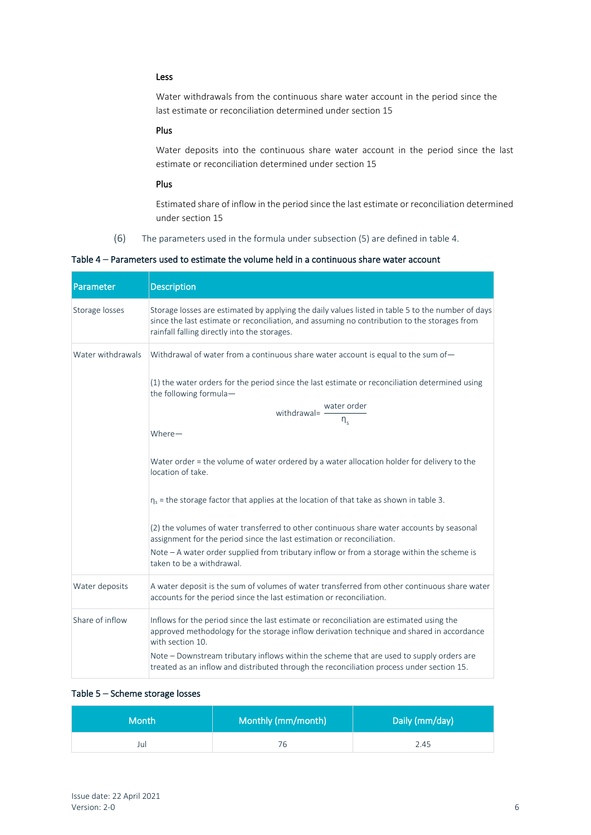#### Less

Water withdrawals from the continuous share water account in the period since the last estimate or reconciliation determined under section 15

#### Plus

Water deposits into the continuous share water account in the period since the last estimate or reconciliation determined under section 15

#### Plus

Estimated share of inflow in the period since the last estimate or reconciliation determined under section 15

(6) The parameters used in the formula under subsection (5) are defined in table 4.

Table 4 – Parameters used to estimate the volume held in a continuous share water account

| Parameter         | <b>Description</b>                                                                                                                                                                                                                                |
|-------------------|---------------------------------------------------------------------------------------------------------------------------------------------------------------------------------------------------------------------------------------------------|
| Storage losses    | Storage losses are estimated by applying the daily values listed in table 5 to the number of days<br>since the last estimate or reconciliation, and assuming no contribution to the storages from<br>rainfall falling directly into the storages. |
| Water withdrawals | Withdrawal of water from a continuous share water account is equal to the sum of-                                                                                                                                                                 |
|                   | (1) the water orders for the period since the last estimate or reconciliation determined using<br>the following formula-                                                                                                                          |
|                   | withdrawal= $\frac{\text{water order}}{\eta_s}$                                                                                                                                                                                                   |
|                   | Where-                                                                                                                                                                                                                                            |
|                   | Water order = the volume of water ordered by a water allocation holder for delivery to the<br>location of take.                                                                                                                                   |
|                   | $\eta_s$ = the storage factor that applies at the location of that take as shown in table 3.                                                                                                                                                      |
|                   | (2) the volumes of water transferred to other continuous share water accounts by seasonal<br>assignment for the period since the last estimation or reconciliation.                                                                               |
|                   | Note - A water order supplied from tributary inflow or from a storage within the scheme is<br>taken to be a withdrawal.                                                                                                                           |
| Water deposits    | A water deposit is the sum of volumes of water transferred from other continuous share water<br>accounts for the period since the last estimation or reconciliation.                                                                              |
| Share of inflow   | Inflows for the period since the last estimate or reconciliation are estimated using the<br>approved methodology for the storage inflow derivation technique and shared in accordance<br>with section 10.                                         |
|                   | Note - Downstream tributary inflows within the scheme that are used to supply orders are<br>treated as an inflow and distributed through the reconciliation process under section 15.                                                             |

#### Table 5 – Scheme storage losses

| <b>Month</b> | Monthly (mm/month) | Daily (mm/day) |
|--------------|--------------------|----------------|
| Jul          | 76                 | 2.45           |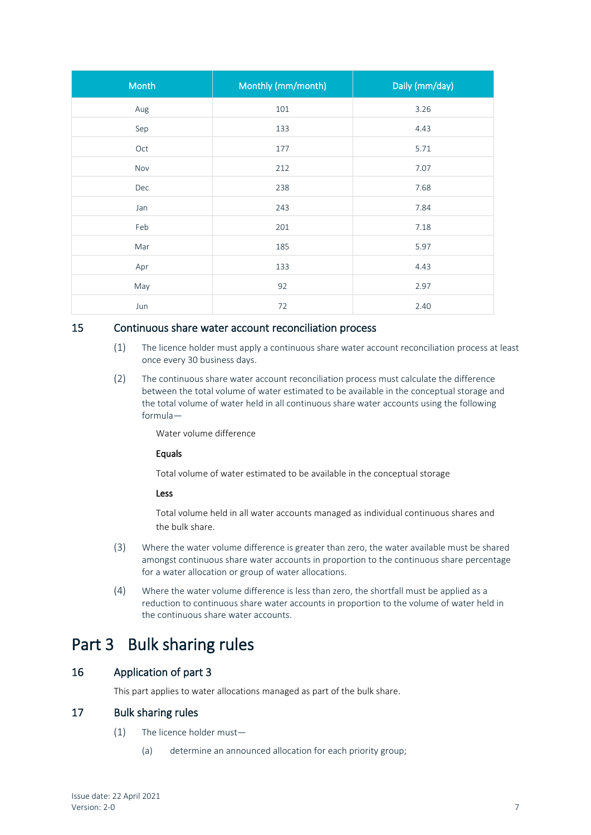| Month | Monthly (mm/month) | Daily (mm/day) |
|-------|--------------------|----------------|
| Aug   | 101                | 3.26           |
| Sep   | 133                | 4.43           |
| Oct   | 177                | 5.71           |
| Nov   | 212                | 7.07           |
| Dec   | 238                | 7.68           |
| Jan   | 243                | 7.84           |
| Feb   | 201                | 7.18           |
| Mar   | 185                | 5.97           |
| Apr   | 133                | 4.43           |
| May   | 92                 | 2.97           |
| Jun   | 72                 | 2.40           |

#### 15 Continuous share water account reconciliation process

- (1) The licence holder must apply a continuous share water account reconciliation process at least once every 30 business days.
- (2) The continuous share water account reconciliation process must calculate the difference between the total volume of water estimated to be available in the conceptual storage and the total volume of water held in all continuous share water accounts using the following formula—

Water volume difference

#### Equals

Total volume of water estimated to be available in the conceptual storage

#### Less

Total volume held in all water accounts managed as individual continuous shares and the bulk share.

- (3) Where the water volume difference is greater than zero, the water available must be shared amongst continuous share water accounts in proportion to the continuous share percentage for a water allocation or group of water allocations.
- (4) Where the water volume difference is less than zero, the shortfall must be applied as a reduction to continuous share water accounts in proportion to the volume of water held in the continuous share water accounts.

### Part 3 Bulk sharing rules

#### 16 Application of part 3

This part applies to water allocations managed as part of the bulk share.

#### 17 Bulk sharing rules

- (1) The licence holder must—
	- (a) determine an announced allocation for each priority group;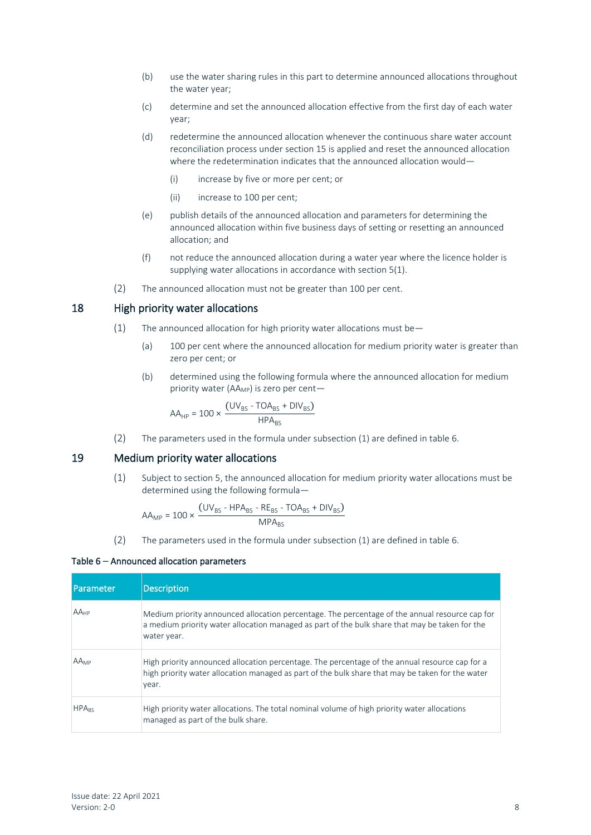- (b) use the water sharing rules in this part to determine announced allocations throughout the water year;
- (c) determine and set the announced allocation effective from the first day of each water year;
- (d) redetermine the announced allocation whenever the continuous share water account reconciliation process under section 15 is applied and reset the announced allocation where the redetermination indicates that the announced allocation would—
	- (i) increase by five or more per cent; or
	- (ii) increase to 100 per cent;
- (e) publish details of the announced allocation and parameters for determining the announced allocation within five business days of setting or resetting an announced allocation; and
- (f) not reduce the announced allocation during a water year where the licence holder is supplying water allocations in accordance with section 5(1).
- (2) The announced allocation must not be greater than 100 per cent.

#### 18 High priority water allocations

- (1) The announced allocation for high priority water allocations must be  $-$ 
	- (a) 100 per cent where the announced allocation for medium priority water is greater than zero per cent; or
	- (b) determined using the following formula where the announced allocation for medium priority water (AA<sub>MP</sub>) is zero per cent-

$$
AA_{HP} = 100 \times \frac{(UV_{BS} - TOA_{BS} + DIV_{BS})}{HPA_{BS}}
$$

(2) The parameters used in the formula under subsection (1) are defined in table 6.

#### 19 Medium priority water allocations

(1) Subject to section 5, the announced allocation for medium priority water allocations must be determined using the following formula—

$$
AA_{MP} = 100 \times \frac{(UV_{BS} - HPA_{BS} - RE_{BS} - TOA_{BS} + DIV_{BS})}{MPA_{BS}}
$$

(2) The parameters used in the formula under subsection (1) are defined in table 6.

#### Table 6 – Announced allocation parameters

| Parameter               | Description                                                                                                                                                                                                     |
|-------------------------|-----------------------------------------------------------------------------------------------------------------------------------------------------------------------------------------------------------------|
| $AA_{HP}$               | Medium priority announced allocation percentage. The percentage of the annual resource cap for<br>a medium priority water allocation managed as part of the bulk share that may be taken for the<br>water year. |
| <b>AA</b> MP            | High priority announced allocation percentage. The percentage of the annual resource cap for a<br>high priority water allocation managed as part of the bulk share that may be taken for the water<br>year.     |
| <b>HPA<sub>RS</sub></b> | High priority water allocations. The total nominal volume of high priority water allocations<br>managed as part of the bulk share.                                                                              |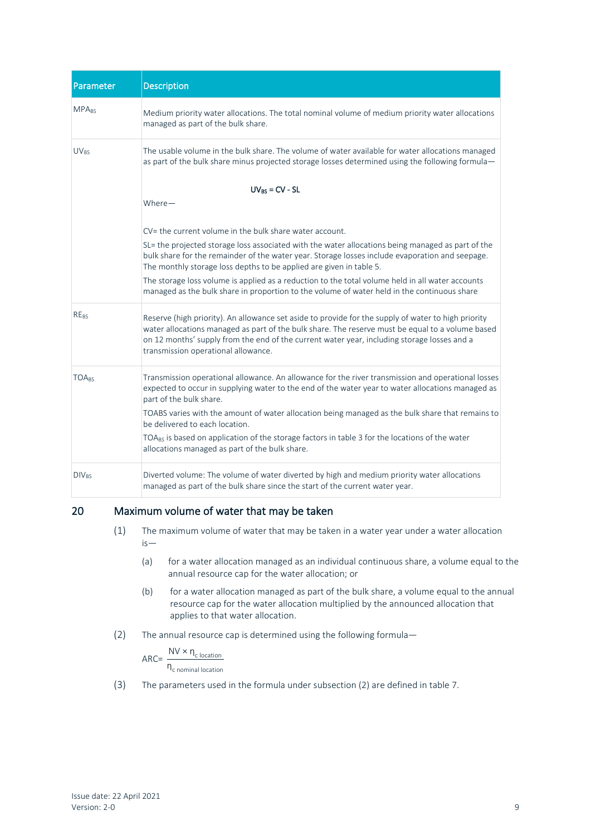| <b>Parameter</b>                                                                                                                                                                                                               | <b>Description</b>                                                                                                                                                                                                                                                                                                                            |
|--------------------------------------------------------------------------------------------------------------------------------------------------------------------------------------------------------------------------------|-----------------------------------------------------------------------------------------------------------------------------------------------------------------------------------------------------------------------------------------------------------------------------------------------------------------------------------------------|
| <b>MPA<sub>BS</sub></b>                                                                                                                                                                                                        | Medium priority water allocations. The total nominal volume of medium priority water allocations<br>managed as part of the bulk share.                                                                                                                                                                                                        |
| The usable volume in the bulk share. The volume of water available for water allocations managed<br><b>UV<sub>RS</sub></b><br>as part of the bulk share minus projected storage losses determined using the following formula- |                                                                                                                                                                                                                                                                                                                                               |
|                                                                                                                                                                                                                                | $UV_{BS} = CV - SL$<br>$Where-$                                                                                                                                                                                                                                                                                                               |
|                                                                                                                                                                                                                                | CV= the current volume in the bulk share water account.                                                                                                                                                                                                                                                                                       |
|                                                                                                                                                                                                                                | SL= the projected storage loss associated with the water allocations being managed as part of the<br>bulk share for the remainder of the water year. Storage losses include evaporation and seepage.<br>The monthly storage loss depths to be applied are given in table 5.                                                                   |
|                                                                                                                                                                                                                                | The storage loss volume is applied as a reduction to the total volume held in all water accounts<br>managed as the bulk share in proportion to the volume of water held in the continuous share                                                                                                                                               |
| <b>RE<sub>BS</sub></b>                                                                                                                                                                                                         | Reserve (high priority). An allowance set aside to provide for the supply of water to high priority<br>water allocations managed as part of the bulk share. The reserve must be equal to a volume based<br>on 12 months' supply from the end of the current water year, including storage losses and a<br>transmission operational allowance. |
| <b>TOARS</b>                                                                                                                                                                                                                   | Transmission operational allowance. An allowance for the river transmission and operational losses<br>expected to occur in supplying water to the end of the water year to water allocations managed as<br>part of the bulk share.                                                                                                            |
|                                                                                                                                                                                                                                | TOABS varies with the amount of water allocation being managed as the bulk share that remains to<br>be delivered to each location.                                                                                                                                                                                                            |
|                                                                                                                                                                                                                                | TOA <sub>BS</sub> is based on application of the storage factors in table 3 for the locations of the water<br>allocations managed as part of the bulk share.                                                                                                                                                                                  |
| <b>DIV<sub>BS</sub></b>                                                                                                                                                                                                        | Diverted volume: The volume of water diverted by high and medium priority water allocations<br>managed as part of the bulk share since the start of the current water year.                                                                                                                                                                   |

#### 20 Maximum volume of water that may be taken

- (1) The maximum volume of water that may be taken in a water year under a water allocation is—
	- (a) for a water allocation managed as an individual continuous share, a volume equal to the annual resource cap for the water allocation; or
	- (b) for a water allocation managed as part of the bulk share, a volume equal to the annual resource cap for the water allocation multiplied by the announced allocation that applies to that water allocation.
- (2) The annual resource cap is determined using the following formula—

 $\textsf{ARC} = \frac{\textsf{NV} \times \textsf{n}_{\textsf{c location}}}{\textsf{N} \times \textsf{n}_{\textsf{c location}}}$  $\overline{\eta_{c \text{ nominal location}}}$ 

(3) The parameters used in the formula under subsection (2) are defined in table 7.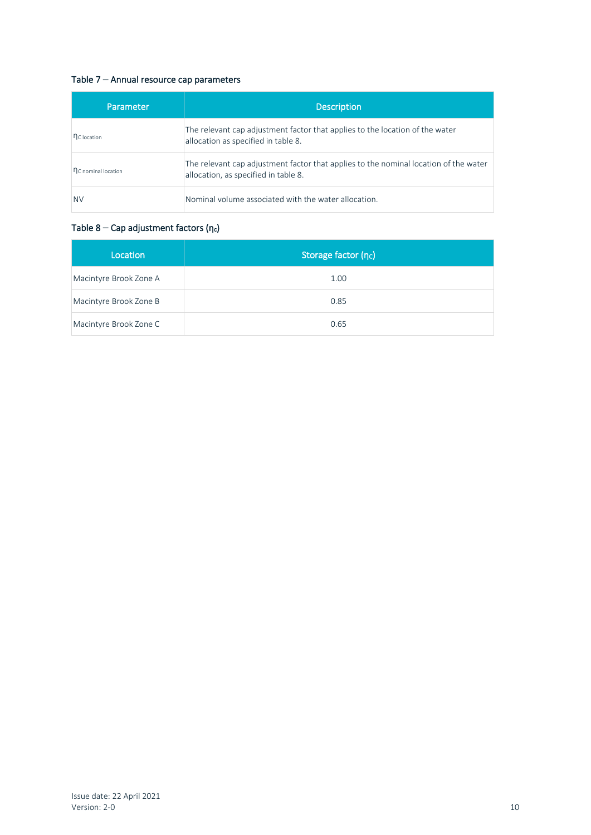#### Table 7 – Annual resource cap parameters

| Parameter               | Description                                                                                                                  |
|-------------------------|------------------------------------------------------------------------------------------------------------------------------|
| n <sub>C</sub> location | The relevant cap adjustment factor that applies to the location of the water<br>allocation as specified in table 8.          |
| nc nominal location     | The relevant cap adjustment factor that applies to the nominal location of the water<br>allocation, as specified in table 8. |
| <b>NV</b>               | Nominal volume associated with the water allocation.                                                                         |

#### Table  $8 - Cap$  adjustment factors (η $_{c}$ )

| Location               | Storage factor (nc) |
|------------------------|---------------------|
| Macintyre Brook Zone A | 1.00                |
| Macintyre Brook Zone B | 0.85                |
| Macintyre Brook Zone C | 0.65                |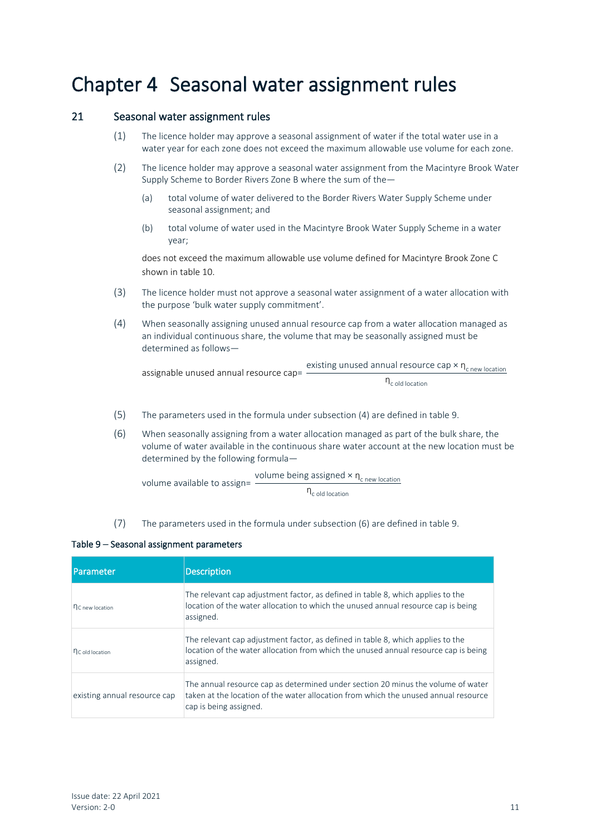### Chapter 4 Seasonal water assignment rules

#### 21 Seasonal water assignment rules

- (1) The licence holder may approve a seasonal assignment of water if the total water use in a water year for each zone does not exceed the maximum allowable use volume for each zone.
- (2) The licence holder may approve a seasonal water assignment from the Macintyre Brook Water Supply Scheme to Border Rivers Zone B where the sum of the—
	- (a) total volume of water delivered to the Border Rivers Water Supply Scheme under seasonal assignment; and
	- (b) total volume of water used in the Macintyre Brook Water Supply Scheme in a water year;

does not exceed the maximum allowable use volume defined for Macintyre Brook Zone C shown in table 10.

- (3) The licence holder must not approve a seasonal water assignment of a water allocation with the purpose 'bulk water supply commitment'.
- (4) When seasonally assigning unused annual resource cap from a water allocation managed as an individual continuous share, the volume that may be seasonally assigned must be determined as follows—

assignable unused annual resource cap=  $\frac{\text{existing unused annual resource cap} \times \eta_{\text{c new location}}}{\text{cation}}$  $\eta_c$  old location

- (5) The parameters used in the formula under subsection (4) are defined in table 9.
- (6) When seasonally assigning from a water allocation managed as part of the bulk share, the volume of water available in the continuous share water account at the new location must be determined by the following formula—

volume available to assign= volume being assigned  $\times$  n<sub>c new location</sub>  $n_{c \text{ old location}}$ 

(7) The parameters used in the formula under subsection (6) are defined in table 9.

#### Table 9 – Seasonal assignment parameters

| <b>I</b> Parameter           | Description                                                                                                                                                                                       |
|------------------------------|---------------------------------------------------------------------------------------------------------------------------------------------------------------------------------------------------|
| n <sub>C</sub> new location  | The relevant cap adjustment factor, as defined in table 8, which applies to the<br>location of the water allocation to which the unused annual resource cap is being<br>assigned.                 |
| nc old location              | The relevant cap adjustment factor, as defined in table 8, which applies to the<br>location of the water allocation from which the unused annual resource cap is being<br>assigned.               |
| existing annual resource cap | The annual resource cap as determined under section 20 minus the volume of water<br>taken at the location of the water allocation from which the unused annual resource<br>cap is being assigned. |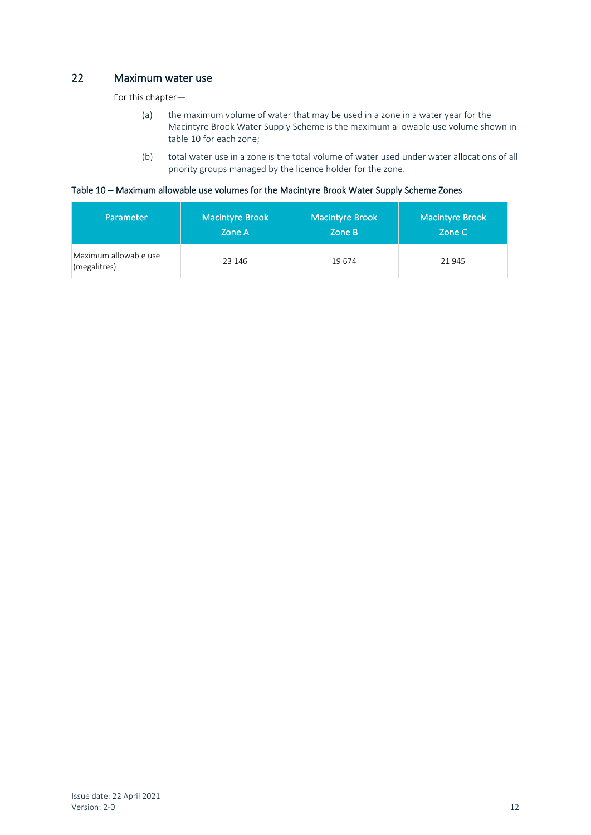#### 22 Maximum water use

For this chapter—

- (a) the maximum volume of water that may be used in a zone in a water year for the Macintyre Brook Water Supply Scheme is the maximum allowable use volume shown in table 10 for each zone;
- (b) total water use in a zone is the total volume of water used under water allocations of all priority groups managed by the licence holder for the zone.

#### Table 10 – Maximum allowable use volumes for the Macintyre Brook Water Supply Scheme Zones

| Parameter                             | <b>Macintyre Brook</b> | <b>Macintyre Brook</b> | <b>Macintyre Brook</b> |
|---------------------------------------|------------------------|------------------------|------------------------|
|                                       | Zone A                 | Zone B                 | Zone C                 |
| Maximum allowable use<br>(megalitres) | 23 146                 | 19674                  | 21 945                 |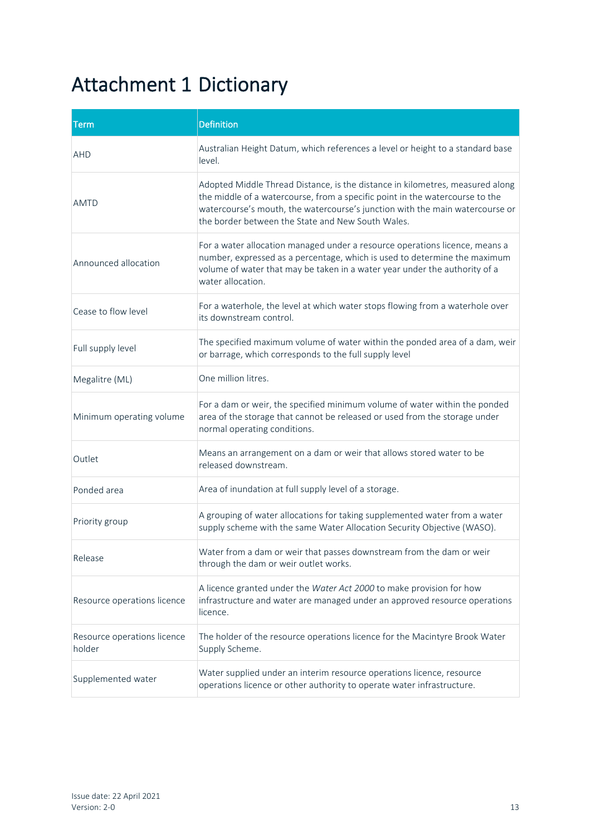### Attachment 1 Dictionary

| <b>Term</b>                           | <b>Definition</b>                                                                                                                                                                                                                                                                                  |
|---------------------------------------|----------------------------------------------------------------------------------------------------------------------------------------------------------------------------------------------------------------------------------------------------------------------------------------------------|
| <b>AHD</b>                            | Australian Height Datum, which references a level or height to a standard base<br>level.                                                                                                                                                                                                           |
| <b>AMTD</b>                           | Adopted Middle Thread Distance, is the distance in kilometres, measured along<br>the middle of a watercourse, from a specific point in the watercourse to the<br>watercourse's mouth, the watercourse's junction with the main watercourse or<br>the border between the State and New South Wales. |
| Announced allocation                  | For a water allocation managed under a resource operations licence, means a<br>number, expressed as a percentage, which is used to determine the maximum<br>volume of water that may be taken in a water year under the authority of a<br>water allocation.                                        |
| Cease to flow level                   | For a waterhole, the level at which water stops flowing from a waterhole over<br>its downstream control.                                                                                                                                                                                           |
| Full supply level                     | The specified maximum volume of water within the ponded area of a dam, weir<br>or barrage, which corresponds to the full supply level                                                                                                                                                              |
| Megalitre (ML)                        | One million litres.                                                                                                                                                                                                                                                                                |
| Minimum operating volume              | For a dam or weir, the specified minimum volume of water within the ponded<br>area of the storage that cannot be released or used from the storage under<br>normal operating conditions.                                                                                                           |
| Outlet                                | Means an arrangement on a dam or weir that allows stored water to be<br>released downstream.                                                                                                                                                                                                       |
| Ponded area                           | Area of inundation at full supply level of a storage.                                                                                                                                                                                                                                              |
| Priority group                        | A grouping of water allocations for taking supplemented water from a water<br>supply scheme with the same Water Allocation Security Objective (WASO).                                                                                                                                              |
| Release                               | Water from a dam or weir that passes downstream from the dam or weir<br>through the dam or weir outlet works.                                                                                                                                                                                      |
| Resource operations licence           | A licence granted under the Water Act 2000 to make provision for how<br>infrastructure and water are managed under an approved resource operations<br>licence.                                                                                                                                     |
| Resource operations licence<br>holder | The holder of the resource operations licence for the Macintyre Brook Water<br>Supply Scheme.                                                                                                                                                                                                      |
| Supplemented water                    | Water supplied under an interim resource operations licence, resource<br>operations licence or other authority to operate water infrastructure.                                                                                                                                                    |